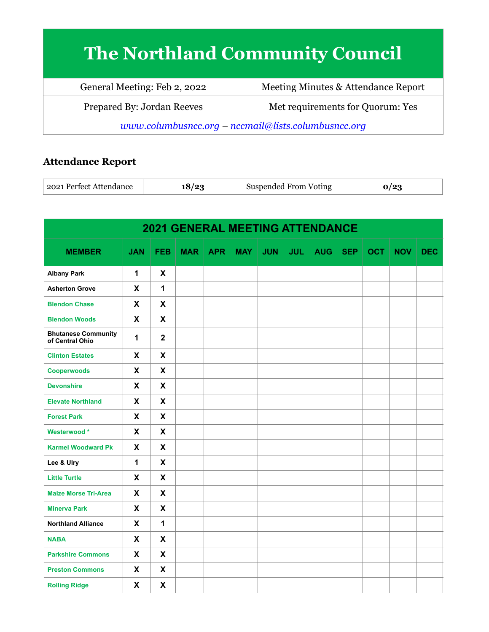## **The Northland Community Council**

| General Meeting: Feb 2, 2022                          | Meeting Minutes & Attendance Report |  |  |  |  |
|-------------------------------------------------------|-------------------------------------|--|--|--|--|
| Prepared By: Jordan Reeves                            | Met requirements for Quorum: Yes    |  |  |  |  |
| $www.columbusncc.org - nccmail@lists.columbusncc.org$ |                                     |  |  |  |  |

## **Attendance Report**

| ∣ 2021 Perfect Attendance ∣ |  | Suspended From Voting |  |
|-----------------------------|--|-----------------------|--|
|-----------------------------|--|-----------------------|--|

| <b>2021 GENERAL MEETING ATTENDANCE</b>        |              |                           |            |            |     |            |            |            |            |            |            |            |
|-----------------------------------------------|--------------|---------------------------|------------|------------|-----|------------|------------|------------|------------|------------|------------|------------|
| <b>MEMBER</b>                                 | <b>JAN</b>   | <b>FEB</b>                | <b>MAR</b> | <b>APR</b> | MAY | <b>JUN</b> | <b>JUL</b> | <b>AUG</b> | <b>SEP</b> | <b>OCT</b> | <b>NOV</b> | <b>DEC</b> |
| <b>Albany Park</b>                            | $\mathbf{1}$ | X                         |            |            |     |            |            |            |            |            |            |            |
| <b>Asherton Grove</b>                         | X            | $\mathbf{1}$              |            |            |     |            |            |            |            |            |            |            |
| <b>Blendon Chase</b>                          | X            | X                         |            |            |     |            |            |            |            |            |            |            |
| <b>Blendon Woods</b>                          | X            | X                         |            |            |     |            |            |            |            |            |            |            |
| <b>Bhutanese Community</b><br>of Central Ohio | $\mathbf{1}$ | $\overline{\mathbf{2}}$   |            |            |     |            |            |            |            |            |            |            |
| <b>Clinton Estates</b>                        | X            | X                         |            |            |     |            |            |            |            |            |            |            |
| <b>Cooperwoods</b>                            | X            | X                         |            |            |     |            |            |            |            |            |            |            |
| <b>Devonshire</b>                             | X            | X                         |            |            |     |            |            |            |            |            |            |            |
| <b>Elevate Northland</b>                      | X            | X                         |            |            |     |            |            |            |            |            |            |            |
| <b>Forest Park</b>                            | X            | X                         |            |            |     |            |            |            |            |            |            |            |
| Westerwood*                                   | X            | X                         |            |            |     |            |            |            |            |            |            |            |
| <b>Karmel Woodward Pk</b>                     | X            | X                         |            |            |     |            |            |            |            |            |            |            |
| Lee & Ulry                                    | $\mathbf{1}$ | X                         |            |            |     |            |            |            |            |            |            |            |
| <b>Little Turtle</b>                          | X            | X                         |            |            |     |            |            |            |            |            |            |            |
| <b>Maize Morse Tri-Area</b>                   | X            | X                         |            |            |     |            |            |            |            |            |            |            |
| <b>Minerva Park</b>                           | $\mathsf{x}$ | $\boldsymbol{\mathsf{X}}$ |            |            |     |            |            |            |            |            |            |            |
| <b>Northland Alliance</b>                     | X            | $\mathbf{1}$              |            |            |     |            |            |            |            |            |            |            |
| <b>NABA</b>                                   | $\mathsf{x}$ | X                         |            |            |     |            |            |            |            |            |            |            |
| <b>Parkshire Commons</b>                      | X            | $\boldsymbol{\mathsf{X}}$ |            |            |     |            |            |            |            |            |            |            |
| <b>Preston Commons</b>                        | X            | X                         |            |            |     |            |            |            |            |            |            |            |
| <b>Rolling Ridge</b>                          | X            | $\boldsymbol{\mathsf{X}}$ |            |            |     |            |            |            |            |            |            |            |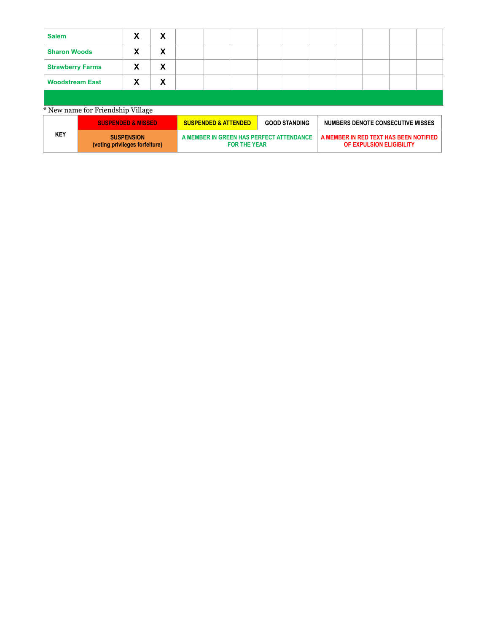| <b>Salem</b>            |                                                                                                                                                                                              | X                                                                                                                             | X |  |  |  |  |  |
|-------------------------|----------------------------------------------------------------------------------------------------------------------------------------------------------------------------------------------|-------------------------------------------------------------------------------------------------------------------------------|---|--|--|--|--|--|
| <b>Sharon Woods</b>     |                                                                                                                                                                                              | х                                                                                                                             | X |  |  |  |  |  |
| <b>Strawberry Farms</b> |                                                                                                                                                                                              | х                                                                                                                             | X |  |  |  |  |  |
| <b>Woodstream East</b>  |                                                                                                                                                                                              | х                                                                                                                             | X |  |  |  |  |  |
|                         |                                                                                                                                                                                              |                                                                                                                               |   |  |  |  |  |  |
|                         | * New name for Friendship Village                                                                                                                                                            |                                                                                                                               |   |  |  |  |  |  |
|                         |                                                                                                                                                                                              | <b>SUSPENDED &amp; MISSED</b><br><b>SUSPENDED &amp; ATTENDED</b><br><b>GOOD STANDING</b><br>NUMBERS DENOTE CONSECUTIVE MISSES |   |  |  |  |  |  |
| <b>KEY</b>              | A MEMBER IN GREEN HAS PERFECT ATTENDANCE<br>A MEMBER IN RED TEXT HAS BEEN NOTIFIED<br><b>SUSPENSION</b><br>(voting privileges forfeiture)<br><b>FOR THE YEAR</b><br>OF EXPULSION ELIGIBILITY |                                                                                                                               |   |  |  |  |  |  |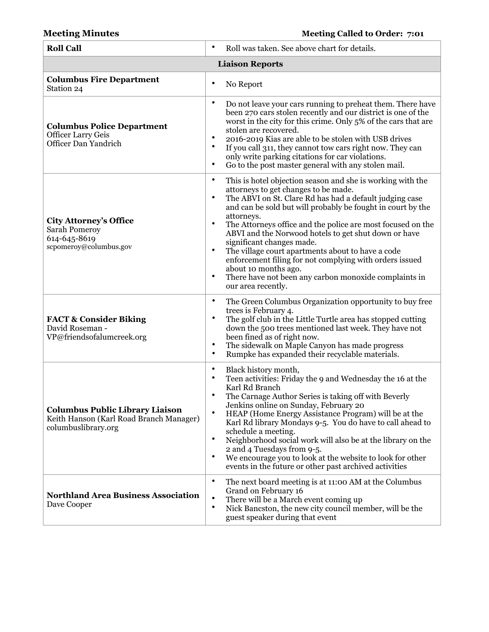## **Meeting Minutes Meeting Called to Order: 7:01**

| <b>Roll Call</b>                                                                                         | $\bullet$<br>Roll was taken. See above chart for details.                                                                                                                                                                                                                                                                                                                                                                                                                                                                                                                                                                                                                              |  |  |  |  |  |  |
|----------------------------------------------------------------------------------------------------------|----------------------------------------------------------------------------------------------------------------------------------------------------------------------------------------------------------------------------------------------------------------------------------------------------------------------------------------------------------------------------------------------------------------------------------------------------------------------------------------------------------------------------------------------------------------------------------------------------------------------------------------------------------------------------------------|--|--|--|--|--|--|
| <b>Liaison Reports</b>                                                                                   |                                                                                                                                                                                                                                                                                                                                                                                                                                                                                                                                                                                                                                                                                        |  |  |  |  |  |  |
| <b>Columbus Fire Department</b><br>Station 24                                                            | $\bullet$<br>No Report                                                                                                                                                                                                                                                                                                                                                                                                                                                                                                                                                                                                                                                                 |  |  |  |  |  |  |
| <b>Columbus Police Department</b><br><b>Officer Larry Geis</b><br>Officer Dan Yandrich                   | $\bullet$<br>Do not leave your cars running to preheat them. There have<br>been 270 cars stolen recently and our district is one of the<br>worst in the city for this crime. Only 5% of the cars that are<br>stolen are recovered.<br>$\bullet$<br>2016-2019 Kias are able to be stolen with USB drives<br>$\bullet$<br>If you call 311, they cannot tow cars right now. They can<br>only write parking citations for car violations.<br>$\bullet$<br>Go to the post master general with any stolen mail.                                                                                                                                                                              |  |  |  |  |  |  |
| <b>City Attorney's Office</b><br>Sarah Pomeroy<br>614-645-8619<br>scpomeroy@columbus.gov                 | $\bullet$<br>This is hotel objection season and she is working with the<br>attorneys to get changes to be made.<br>$\bullet$<br>The ABVI on St. Clare Rd has had a default judging case<br>and can be sold but will probably be fought in court by the<br>attorneys.<br>$\bullet$<br>The Attorneys office and the police are most focused on the<br>ABVI and the Norwood hotels to get shut down or have<br>significant changes made.<br>$\bullet$<br>The village court apartments about to have a code<br>enforcement filing for not complying with orders issued<br>about 10 months ago.<br>$\bullet$<br>There have not been any carbon monoxide complaints in<br>our area recently. |  |  |  |  |  |  |
| <b>FACT &amp; Consider Biking</b><br>David Roseman -<br>VP@friendsofalumcreek.org                        | $\bullet$<br>The Green Columbus Organization opportunity to buy free<br>trees is February 4.<br>The golf club in the Little Turtle area has stopped cutting<br>$\bullet$<br>down the 500 trees mentioned last week. They have not<br>been fined as of right now.<br>The sidewalk on Maple Canyon has made progress<br>$\bullet$<br>$\bullet$<br>Rumpke has expanded their recyclable materials.                                                                                                                                                                                                                                                                                        |  |  |  |  |  |  |
| <b>Columbus Public Library Liaison</b><br>Keith Hanson (Karl Road Branch Manager)<br>columbuslibrary.org | $\bullet$<br>Black history month,<br>$\bullet$<br>Teen activities: Friday the 9 and Wednesday the 16 at the<br>Karl Rd Branch<br>$\bullet$<br>The Carnage Author Series is taking off with Beverly<br>Jenkins online on Sunday, February 20<br>$\bullet$<br>HEAP (Home Energy Assistance Program) will be at the<br>Karl Rd library Mondays 9-5. You do have to call ahead to<br>schedule a meeting.<br>$\bullet$<br>Neighborhood social work will also be at the library on the<br>2 and 4 Tuesdays from 9-5.<br>$\bullet$<br>We encourage you to look at the website to look for other<br>events in the future or other past archived activities                                     |  |  |  |  |  |  |
| <b>Northland Area Business Association</b><br>Dave Cooper                                                | $\bullet$<br>The next board meeting is at 11:00 AM at the Columbus<br>Grand on February 16<br>$\bullet$<br>There will be a March event coming up<br>$\bullet$<br>Nick Bancston, the new city council member, will be the<br>guest speaker during that event                                                                                                                                                                                                                                                                                                                                                                                                                            |  |  |  |  |  |  |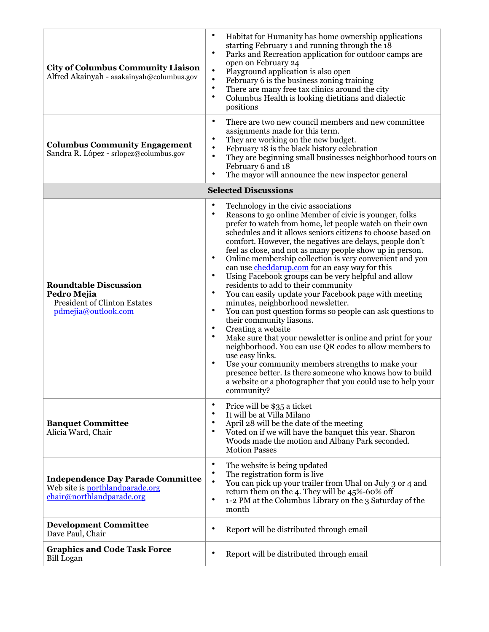| <b>City of Columbus Community Liaison</b><br>Alfred Akainyah - aaakainyah@columbus.gov                    | Habitat for Humanity has home ownership applications<br>starting February 1 and running through the 18<br>Parks and Recreation application for outdoor camps are<br>٠<br>open on February 24<br>Playground application is also open<br>$\bullet$<br>February 6 is the business zoning training<br>$\bullet$<br>There are many free tax clinics around the city<br>$\bullet$<br>Columbus Health is looking dietitians and dialectic<br>positions                                                                                                                                                                                                                                                                                                                                                                                                                                                                                                                                                                                                                                                                                                                                                                   |
|-----------------------------------------------------------------------------------------------------------|-------------------------------------------------------------------------------------------------------------------------------------------------------------------------------------------------------------------------------------------------------------------------------------------------------------------------------------------------------------------------------------------------------------------------------------------------------------------------------------------------------------------------------------------------------------------------------------------------------------------------------------------------------------------------------------------------------------------------------------------------------------------------------------------------------------------------------------------------------------------------------------------------------------------------------------------------------------------------------------------------------------------------------------------------------------------------------------------------------------------------------------------------------------------------------------------------------------------|
| <b>Columbus Community Engagement</b><br>Sandra R. López - srlopez@columbus.gov                            | $\bullet$<br>There are two new council members and new committee<br>assignments made for this term.<br>$\bullet$<br>They are working on the new budget.<br>$\bullet$<br>February 18 is the black history celebration<br>They are beginning small businesses neighborhood tours on<br>$\bullet$<br>February 6 and 18<br>The mayor will announce the new inspector general<br>٠                                                                                                                                                                                                                                                                                                                                                                                                                                                                                                                                                                                                                                                                                                                                                                                                                                     |
|                                                                                                           | <b>Selected Discussions</b>                                                                                                                                                                                                                                                                                                                                                                                                                                                                                                                                                                                                                                                                                                                                                                                                                                                                                                                                                                                                                                                                                                                                                                                       |
| <b>Roundtable Discussion</b><br>Pedro Mejia<br><b>President of Clinton Estates</b><br>pdmejia@outlook.com | ٠<br>Technology in the civic associations<br>Reasons to go online Member of civic is younger, folks<br>$\bullet$<br>prefer to watch from home, let people watch on their own<br>schedules and it allows seniors citizens to choose based on<br>comfort. However, the negatives are delays, people don't<br>feel as close, and not as many people show up in person.<br>Online membership collection is very convenient and you<br>$\bullet$<br>can use cheddarup.com for an easy way for this<br>$\bullet$<br>Using Facebook groups can be very helpful and allow<br>residents to add to their community<br>You can easily update your Facebook page with meeting<br>٠<br>minutes, neighborhood newsletter.<br>You can post question forms so people can ask questions to<br>٠<br>their community liasons.<br>$\bullet$<br>Creating a website<br>$\bullet$<br>Make sure that your newsletter is online and print for your<br>neighborhood. You can use QR codes to allow members to<br>use easy links.<br>$\bullet$<br>Use your community members strengths to make your<br>presence better. Is there someone who knows how to build<br>a website or a photographer that you could use to help your<br>community? |
| <b>Banquet Committee</b><br>Alicia Ward, Chair                                                            | Price will be \$35 a ticket<br>It will be at Villa Milano<br>٠<br>April 28 will be the date of the meeting<br>Voted on if we will have the banquet this year. Sharon<br>٠<br>Woods made the motion and Albany Park seconded.<br><b>Motion Passes</b>                                                                                                                                                                                                                                                                                                                                                                                                                                                                                                                                                                                                                                                                                                                                                                                                                                                                                                                                                              |
| <b>Independence Day Parade Committee</b><br>Web site is northlandparade.org<br>chair@northlandparade.org  | The website is being updated<br>٠<br>The registration form is live<br>٠<br>$\bullet$<br>You can pick up your trailer from Uhal on July 3 or 4 and<br>return them on the 4. They will be 45%-60% off<br>1-2 PM at the Columbus Library on the 3 Saturday of the<br>٠<br>month                                                                                                                                                                                                                                                                                                                                                                                                                                                                                                                                                                                                                                                                                                                                                                                                                                                                                                                                      |
| <b>Development Committee</b><br>Dave Paul, Chair                                                          | Report will be distributed through email                                                                                                                                                                                                                                                                                                                                                                                                                                                                                                                                                                                                                                                                                                                                                                                                                                                                                                                                                                                                                                                                                                                                                                          |
| <b>Graphics and Code Task Force</b><br>Bill Logan                                                         | Report will be distributed through email                                                                                                                                                                                                                                                                                                                                                                                                                                                                                                                                                                                                                                                                                                                                                                                                                                                                                                                                                                                                                                                                                                                                                                          |